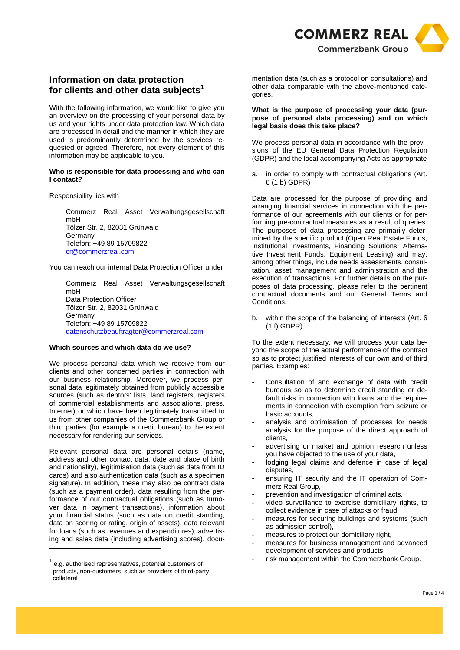

# **Information on data protection for clients and other data subjects<sup>1</sup>**

With the following information, we would like to give you an overview on the processing of your personal data by us and your rights under data protection law. Which data are processed in detail and the manner in which they are used is predominantly determined by the services requested or agreed. Therefore, not every element of this information may be applicable to you.

#### **Who is responsible for data processing and who can I contact?**

Responsibility lies with

Commerz Real Asset Verwaltungsgesellschaft mbH Tölzer Str. 2, 82031 Grünwald Germany Telefon: +49 89 15709822 cr@commerzreal.com

You can reach our internal Data Protection Officer under

Commerz Real Asset Verwaltungsgesellschaft mbH Data Protection Officer Tölzer Str. 2, 82031 Grünwald **Germany** Telefon: +49 89 15709822 datenschutzbeauftragter@commerzreal.com

## **Which sources and which data do we use?**

We process personal data which we receive from our clients and other concerned parties in connection with our business relationship. Moreover, we process personal data legitimately obtained from publicly accessible sources (such as debtors' lists, land registers, registers of commercial establishments and associations, press, Internet) or which have been legitimately transmitted to us from other companies of the Commerzbank Group or third parties (for example a credit bureau) to the extent necessary for rendering our services.

Relevant personal data are personal details (name, address and other contact data, date and place of birth and nationality), legitimisation data (such as data from ID cards) and also authentication data (such as a specimen signature). In addition, these may also be contract data (such as a payment order), data resulting from the performance of our contractual obligations (such as turnover data in payment transactions), information about your financial status (such as data on credit standing, data on scoring or rating, origin of assets), data relevant for loans (such as revenues and expenditures), advertising and sales data (including advertising scores), documentation data (such as a protocol on consultations) and other data comparable with the above-mentioned categories.

#### **What is the purpose of processing your data (purpose of personal data processing) and on which legal basis does this take place?**

We process personal data in accordance with the provisions of the EU General Data Protection Regulation (GDPR) and the local accompanying Acts as appropriate

a. in order to comply with contractual obligations (Art. 6 (1 b) GDPR)

Data are processed for the purpose of providing and arranging financial services in connection with the performance of our agreements with our clients or for performing pre-contractual measures as a result of queries. The purposes of data processing are primarily determined by the specific product (Open Real Estate Funds, Institutional Investments, Financing Solutions, Alternative Investment Funds, Equipment Leasing) and may, among other things, include needs assessments, consultation, asset management and administration and the execution of transactions. For further details on the purposes of data processing, please refer to the pertinent contractual documents and our General Terms and **Conditions** 

b. within the scope of the balancing of interests (Art. 6 (1 f) GDPR)

To the extent necessary, we will process your data beyond the scope of the actual performance of the contract so as to protect justified interests of our own and of third parties. Examples:

- Consultation of and exchange of data with credit bureaus so as to determine credit standing or default risks in connection with loans and the requirements in connection with exemption from seizure or basic accounts,
- analysis and optimisation of processes for needs analysis for the purpose of the direct approach of clients,
- advertising or market and opinion research unless you have objected to the use of your data,
- lodging legal claims and defence in case of legal disputes,
- ensuring IT security and the IT operation of Commerz Real Group,
- prevention and investigation of criminal acts,
- video surveillance to exercise domiciliary rights, to collect evidence in case of attacks or fraud,
- measures for securing buildings and systems (such as admission control),
- measures to protect our domiciliary right,
- measures for business management and advanced development of services and products,
- risk management within the Commerzbank Group.

 $^{1}$  e.g. authorised representatives, potential customers of products, non-customers such as providers of third-party collateral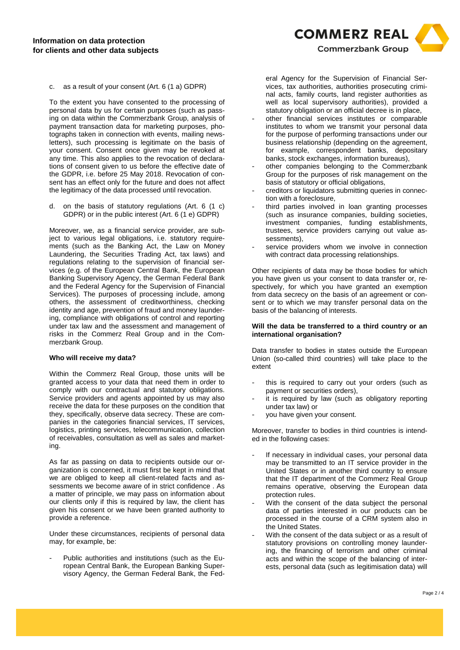

c. as a result of your consent (Art. 6 (1 a) GDPR)

To the extent you have consented to the processing of personal data by us for certain purposes (such as passing on data within the Commerzbank Group, analysis of payment transaction data for marketing purposes, photographs taken in connection with events, mailing newsletters), such processing is legitimate on the basis of your consent. Consent once given may be revoked at any time. This also applies to the revocation of declarations of consent given to us before the effective date of the GDPR, i.e. before 25 May 2018. Revocation of consent has an effect only for the future and does not affect the legitimacy of the data processed until revocation.

d. on the basis of statutory regulations (Art. 6 (1 c) GDPR) or in the public interest (Art. 6 (1 e) GDPR)

Moreover, we, as a financial service provider, are subject to various legal obligations, i.e. statutory requirements (such as the Banking Act, the Law on Money Laundering, the Securities Trading Act, tax laws) and regulations relating to the supervision of financial services (e.g. of the European Central Bank, the European Banking Supervisory Agency, the German Federal Bank and the Federal Agency for the Supervision of Financial Services). The purposes of processing include, among others, the assessment of creditworthiness, checking identity and age, prevention of fraud and money laundering, compliance with obligations of control and reporting under tax law and the assessment and management of risks in the Commerz Real Group and in the Commerzbank Group.

#### **Who will receive my data?**

Within the Commerz Real Group, those units will be granted access to your data that need them in order to comply with our contractual and statutory obligations. Service providers and agents appointed by us may also receive the data for these purposes on the condition that they, specifically, observe data secrecy. These are companies in the categories financial services, IT services, logistics, printing services, telecommunication, collection of receivables, consultation as well as sales and marketing.

As far as passing on data to recipients outside our organization is concerned, it must first be kept in mind that we are obliged to keep all client-related facts and assessments we become aware of in strict confidence . As a matter of principle, we may pass on information about our clients only if this is required by law, the client has given his consent or we have been granted authority to provide a reference.

Under these circumstances, recipients of personal data may, for example, be:

Public authorities and institutions (such as the European Central Bank, the European Banking Supervisory Agency, the German Federal Bank, the Federal Agency for the Supervision of Financial Services, tax authorities, authorities prosecuting criminal acts, family courts, land register authorities as well as local supervisory authorities), provided a statutory obligation or an official decree is in place,

- other financial services institutes or comparable institutes to whom we transmit your personal data for the purpose of performing transactions under our business relationship (depending on the agreement, for example, correspondent banks, depositary banks, stock exchanges, information bureaus),
- other companies belonging to the Commerzbank Group for the purposes of risk management on the basis of statutory or official obligations,
- creditors or liquidators submitting queries in connection with a foreclosure,
- third parties involved in loan granting processes (such as insurance companies, building societies, investment companies, funding establishments, trustees, service providers carrying out value assessments),
- service providers whom we involve in connection with contract data processing relationships.

Other recipients of data may be those bodies for which you have given us your consent to data transfer or, respectively, for which you have granted an exemption from data secrecy on the basis of an agreement or consent or to which we may transfer personal data on the basis of the balancing of interests.

#### **Will the data be transferred to a third country or an international organisation?**

Data transfer to bodies in states outside the European Union (so-called third countries) will take place to the extent

- this is required to carry out your orders (such as payment or securities orders),
- it is required by law (such as obligatory reporting under tax law) or
- you have given your consent.

Moreover, transfer to bodies in third countries is intended in the following cases:

- If necessary in individual cases, your personal data may be transmitted to an IT service provider in the United States or in another third country to ensure that the IT department of the Commerz Real Group remains operative, observing the European data protection rules.
- With the consent of the data subject the personal data of parties interested in our products can be processed in the course of a CRM system also in the United States.
- With the consent of the data subject or as a result of statutory provisions on controlling money laundering, the financing of terrorism and other criminal acts and within the scope of the balancing of interests, personal data (such as legitimisation data) will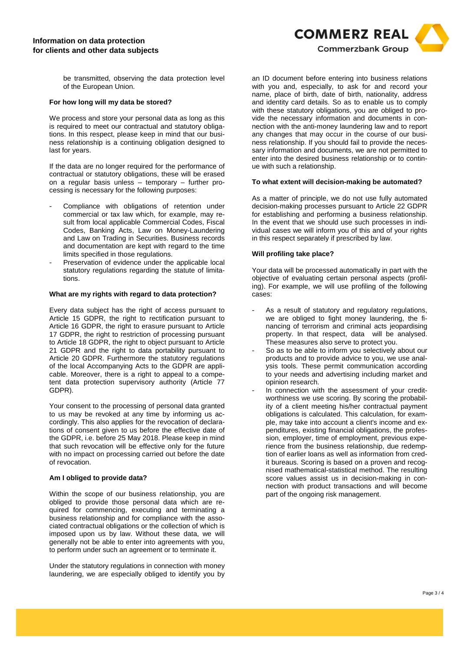

be transmitted, observing the data protection level of the European Union.

### **For how long will my data be stored?**

We process and store your personal data as long as this is required to meet our contractual and statutory obligations. In this respect, please keep in mind that our business relationship is a continuing obligation designed to last for years.

If the data are no longer required for the performance of contractual or statutory obligations, these will be erased on a regular basis unless – temporary – further processing is necessary for the following purposes:

- Compliance with obligations of retention under commercial or tax law which, for example, may result from local applicable Commercial Codes, Fiscal Codes, Banking Acts, Law on Money-Laundering and Law on Trading in Securities. Business records and documentation are kept with regard to the time limits specified in those regulations.
- Preservation of evidence under the applicable local statutory regulations regarding the statute of limitations.

### **What are my rights with regard to data protection?**

Every data subject has the right of access pursuant to Article 15 GDPR, the right to rectification pursuant to Article 16 GDPR, the right to erasure pursuant to Article 17 GDPR, the right to restriction of processing pursuant to Article 18 GDPR, the right to object pursuant to Article 21 GDPR and the right to data portability pursuant to Article 20 GDPR. Furthermore the statutory regulations of the local Accompanying Acts to the GDPR are applicable. Moreover, there is a right to appeal to a competent data protection supervisory authority (Article 77 GDPR).

Your consent to the processing of personal data granted to us may be revoked at any time by informing us accordingly. This also applies for the revocation of declarations of consent given to us before the effective date of the GDPR, i.e. before 25 May 2018. Please keep in mind that such revocation will be effective only for the future with no impact on processing carried out before the date of revocation.

### **Am I obliged to provide data?**

Within the scope of our business relationship, you are obliged to provide those personal data which are required for commencing, executing and terminating a business relationship and for compliance with the associated contractual obligations or the collection of which is imposed upon us by law. Without these data, we will generally not be able to enter into agreements with you, to perform under such an agreement or to terminate it.

Under the statutory regulations in connection with money laundering, we are especially obliged to identify you by

an ID document before entering into business relations with you and, especially, to ask for and record your name, place of birth, date of birth, nationality, address and identity card details. So as to enable us to comply with these statutory obligations, you are obliged to provide the necessary information and documents in connection with the anti-money laundering law and to report any changes that may occur in the course of our business relationship. If you should fail to provide the necessary information and documents, we are not permitted to enter into the desired business relationship or to continue with such a relationship.

### **To what extent will decision-making be automated?**

As a matter of principle, we do not use fully automated decision-making processes pursuant to Article 22 GDPR for establishing and performing a business relationship. In the event that we should use such processes in individual cases we will inform you of this and of your rights in this respect separately if prescribed by law.

# **Will profiling take place?**

Your data will be processed automatically in part with the objective of evaluating certain personal aspects (profiling). For example, we will use profiling of the following cases:

- As a result of statutory and regulatory regulations, we are obliged to fight money laundering, the financing of terrorism and criminal acts jeopardising property. In that respect, data will be analysed. These measures also serve to protect you.
- So as to be able to inform you selectively about our products and to provide advice to you, we use analysis tools. These permit communication according to your needs and advertising including market and opinion research.
- In connection with the assessment of your creditworthiness we use scoring. By scoring the probability of a client meeting his/her contractual payment obligations is calculated. This calculation, for example, may take into account a client's income and expenditures, existing financial obligations, the profession, employer, time of employment, previous experience from the business relationship, due redemption of earlier loans as well as information from credit bureaus. Scoring is based on a proven and recognised mathematical-statistical method. The resulting score values assist us in decision-making in connection with product transactions and will become part of the ongoing risk management.